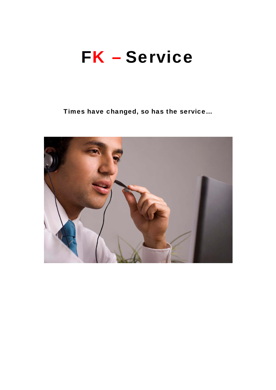## **FK - Service**

Times have changed, so has the service...

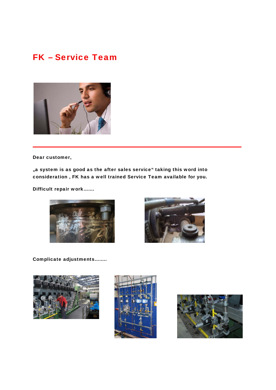## FK – Service Team



Dear customer,

"a system is as good as the after sales service" taking this word into consideration , FK has a well trained Service Team available for you.

\_\_\_\_\_\_\_\_\_\_\_\_\_\_\_\_\_\_\_\_\_\_\_\_\_\_\_\_\_\_\_\_\_\_\_\_\_\_\_\_\_\_\_\_\_\_\_\_\_\_\_\_\_\_\_\_\_\_\_\_\_\_\_\_\_\_\_\_\_\_\_\_\_\_\_

Difficult repair work…….





Complicate adjustments……..





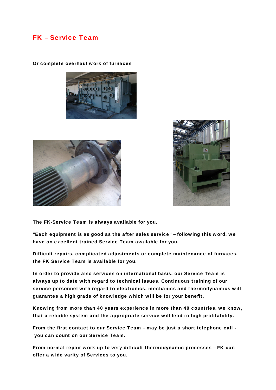## FK – Service Team



Or complete overhaul work of furnaces





The FK-Service Team is always available for you.

"Each equipment is as good as the after sales service" – following this word, we have an excellent trained Service Team available for you.

Difficult repairs, complicated adjustments or complete maintenance of furnaces, the FK Service Team is available for you.

In order to provide also services on international basis, our Service Team is always up to date with regard to technical issues. Continuous training of our service personnel with regard to electronics, mechanics and thermodynamics will guarantee a high grade of knowledge which will be for your benefit.

Knowing from more than 40 years experience in more than 40 countries, we know, that a reliable system and the appropriate service will lead to high profitability.

From the first contact to our Service Team – may be just a short telephone call you can count on our Service Team.

From normal repair work up to very difficult thermodynamic processes – FK can offer a wide varity of Services to you.